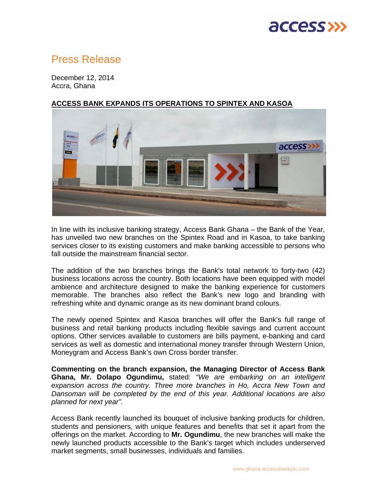# **access >>**

# Press Release

December 12, 2014 Accra, Ghana

# access>>

### **ACCESS BANK EXPANDS ITS OPERATIONS TO SPINTEX AND KASOA**

In line with its inclusive banking strategy, Access Bank Ghana – the Bank of the Year, has unveiled two new branches on the Spintex Road and in Kasoa, to take banking services closer to its existing customers and make banking accessible to persons who fall outside the mainstream financial sector.

The addition of the two branches brings the Bank's total network to forty-two (42) business locations across the country. Both locations have been equipped with model ambience and architecture designed to make the banking experience for customers memorable. The branches also reflect the Bank's new logo and branding with refreshing white and dynamic orange as its new dominant brand colours.

The newly opened Spintex and Kasoa branches will offer the Bank's full range of business and retail banking products including flexible savings and current account options. Other services available to customers are bills payment, e-banking and card services as well as domestic and international money transfer through Western Union, Moneygram and Access Bank's own Cross border transfer.

**Commenting on the branch expansion, the Managing Director of Access Bank Ghana, Mr. Dolapo Ogundimu,** stated: *"We are embarking on an intelligent expansion across the country. Three more branches in Ho, Accra New Town and Dansoman will be completed by the end of this year. Additional locations are also planned for next year".* 

Access Bank recently launched its bouquet of inclusive banking products for children, students and pensioners, with unique features and benefits that set it apart from the offerings on the market. According to **Mr. Ogundimu**, the new branches will make the newly launched products accessible to the Bank's target which includes underserved market segments, small businesses, individuals and families.